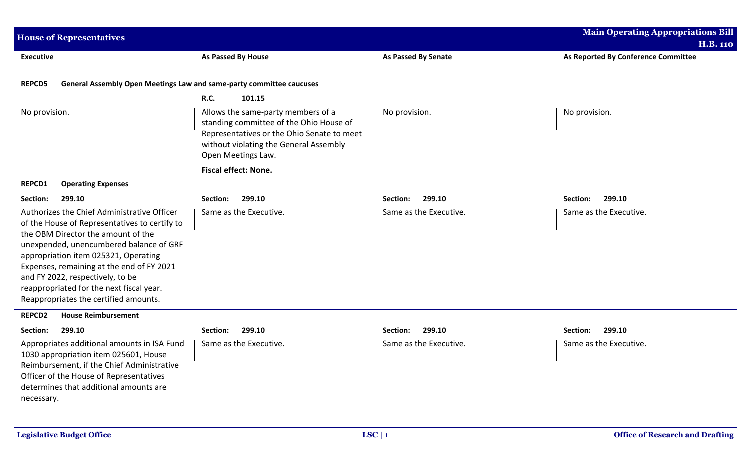| <b>House of Representatives</b>                                                                                                                                                                                                                                                                                                                                                             |                                                                                                                                                                                             |                        | <b>Main Operating Appropriations Bill</b>              |
|---------------------------------------------------------------------------------------------------------------------------------------------------------------------------------------------------------------------------------------------------------------------------------------------------------------------------------------------------------------------------------------------|---------------------------------------------------------------------------------------------------------------------------------------------------------------------------------------------|------------------------|--------------------------------------------------------|
| <b>Executive</b>                                                                                                                                                                                                                                                                                                                                                                            | As Passed By House                                                                                                                                                                          | As Passed By Senate    | <b>H.B. 110</b><br>As Reported By Conference Committee |
| <b>REPCD5</b><br>General Assembly Open Meetings Law and same-party committee caucuses                                                                                                                                                                                                                                                                                                       |                                                                                                                                                                                             |                        |                                                        |
|                                                                                                                                                                                                                                                                                                                                                                                             | <b>R.C.</b><br>101.15                                                                                                                                                                       |                        |                                                        |
| No provision.                                                                                                                                                                                                                                                                                                                                                                               | Allows the same-party members of a<br>standing committee of the Ohio House of<br>Representatives or the Ohio Senate to meet<br>without violating the General Assembly<br>Open Meetings Law. | No provision.          | No provision.                                          |
|                                                                                                                                                                                                                                                                                                                                                                                             | <b>Fiscal effect: None.</b>                                                                                                                                                                 |                        |                                                        |
| <b>REPCD1</b><br><b>Operating Expenses</b>                                                                                                                                                                                                                                                                                                                                                  |                                                                                                                                                                                             |                        |                                                        |
| Section:<br>299.10                                                                                                                                                                                                                                                                                                                                                                          | 299.10<br>Section:                                                                                                                                                                          | 299.10<br>Section:     | 299.10<br>Section:                                     |
| Authorizes the Chief Administrative Officer<br>of the House of Representatives to certify to<br>the OBM Director the amount of the<br>unexpended, unencumbered balance of GRF<br>appropriation item 025321, Operating<br>Expenses, remaining at the end of FY 2021<br>and FY 2022, respectively, to be<br>reappropriated for the next fiscal year.<br>Reappropriates the certified amounts. | Same as the Executive.                                                                                                                                                                      | Same as the Executive. | Same as the Executive.                                 |
| <b>House Reimbursement</b><br><b>REPCD2</b>                                                                                                                                                                                                                                                                                                                                                 |                                                                                                                                                                                             |                        |                                                        |
| 299.10<br>Section:                                                                                                                                                                                                                                                                                                                                                                          | 299.10<br>Section:                                                                                                                                                                          | 299.10<br>Section:     | 299.10<br>Section:                                     |
| Appropriates additional amounts in ISA Fund<br>1030 appropriation item 025601, House<br>Reimbursement, if the Chief Administrative<br>Officer of the House of Representatives<br>determines that additional amounts are<br>necessary.                                                                                                                                                       | Same as the Executive.                                                                                                                                                                      | Same as the Executive. | Same as the Executive.                                 |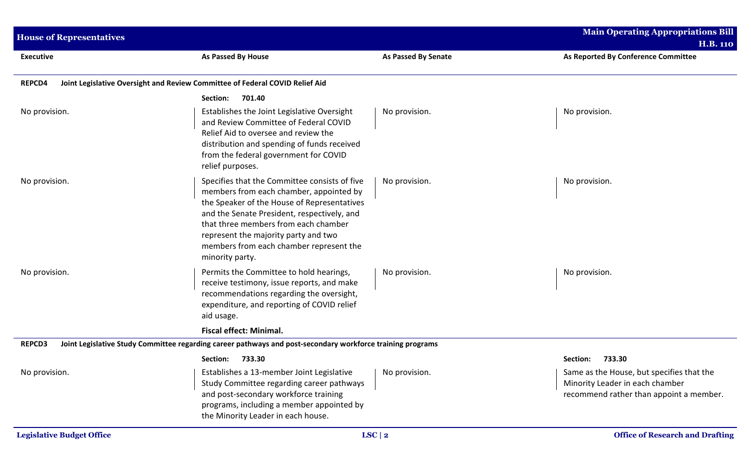| <b>House of Representatives</b> |                                                                                                                                                                                                                                                                                                                                      |                            | <b>Main Operating Appropriations Bill</b>                                                                               |
|---------------------------------|--------------------------------------------------------------------------------------------------------------------------------------------------------------------------------------------------------------------------------------------------------------------------------------------------------------------------------------|----------------------------|-------------------------------------------------------------------------------------------------------------------------|
| <b>Executive</b>                | As Passed By House                                                                                                                                                                                                                                                                                                                   | <b>As Passed By Senate</b> | <b>H.B. 110</b><br>As Reported By Conference Committee                                                                  |
| <b>REPCD4</b>                   | Joint Legislative Oversight and Review Committee of Federal COVID Relief Aid                                                                                                                                                                                                                                                         |                            |                                                                                                                         |
|                                 | 701.40<br>Section:                                                                                                                                                                                                                                                                                                                   |                            |                                                                                                                         |
| No provision.                   | Establishes the Joint Legislative Oversight<br>and Review Committee of Federal COVID<br>Relief Aid to oversee and review the<br>distribution and spending of funds received<br>from the federal government for COVID<br>relief purposes.                                                                                             | No provision.              | No provision.                                                                                                           |
| No provision.                   | Specifies that the Committee consists of five<br>members from each chamber, appointed by<br>the Speaker of the House of Representatives<br>and the Senate President, respectively, and<br>that three members from each chamber<br>represent the majority party and two<br>members from each chamber represent the<br>minority party. | No provision.              | No provision.                                                                                                           |
| No provision.                   | Permits the Committee to hold hearings,<br>receive testimony, issue reports, and make<br>recommendations regarding the oversight,<br>expenditure, and reporting of COVID relief<br>aid usage.                                                                                                                                        | No provision.              | No provision.                                                                                                           |
| <b>REPCD3</b>                   | <b>Fiscal effect: Minimal.</b><br>Joint Legislative Study Committee regarding career pathways and post-secondary workforce training programs                                                                                                                                                                                         |                            |                                                                                                                         |
|                                 | Section: 733.30                                                                                                                                                                                                                                                                                                                      |                            | Section: 733.30                                                                                                         |
| No provision.                   | Establishes a 13-member Joint Legislative<br>Study Committee regarding career pathways<br>and post-secondary workforce training<br>programs, including a member appointed by<br>the Minority Leader in each house.                                                                                                                   | No provision.              | Same as the House, but specifies that the<br>Minority Leader in each chamber<br>recommend rather than appoint a member. |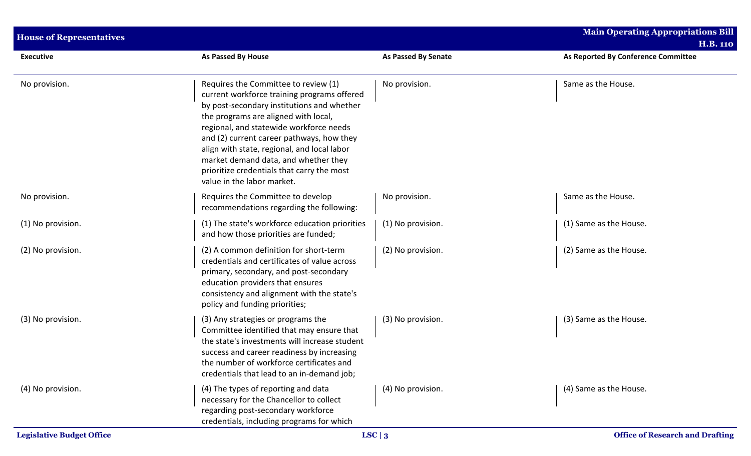| <b>House of Representatives</b> |                                                                                                                                                                                                                                                                                                                                                                                                                                      |                            | <b>Main Operating Appropriations Bill</b><br><b>H.B. 110</b> |
|---------------------------------|--------------------------------------------------------------------------------------------------------------------------------------------------------------------------------------------------------------------------------------------------------------------------------------------------------------------------------------------------------------------------------------------------------------------------------------|----------------------------|--------------------------------------------------------------|
| <b>Executive</b>                | As Passed By House                                                                                                                                                                                                                                                                                                                                                                                                                   | <b>As Passed By Senate</b> | As Reported By Conference Committee                          |
| No provision.                   | Requires the Committee to review (1)<br>current workforce training programs offered<br>by post-secondary institutions and whether<br>the programs are aligned with local,<br>regional, and statewide workforce needs<br>and (2) current career pathways, how they<br>align with state, regional, and local labor<br>market demand data, and whether they<br>prioritize credentials that carry the most<br>value in the labor market. | No provision.              | Same as the House.                                           |
| No provision.                   | Requires the Committee to develop<br>recommendations regarding the following:                                                                                                                                                                                                                                                                                                                                                        | No provision.              | Same as the House.                                           |
| (1) No provision.               | (1) The state's workforce education priorities<br>and how those priorities are funded;                                                                                                                                                                                                                                                                                                                                               | (1) No provision.          | (1) Same as the House.                                       |
| (2) No provision.               | (2) A common definition for short-term<br>credentials and certificates of value across<br>primary, secondary, and post-secondary<br>education providers that ensures<br>consistency and alignment with the state's<br>policy and funding priorities;                                                                                                                                                                                 | (2) No provision.          | (2) Same as the House.                                       |
| (3) No provision.               | (3) Any strategies or programs the<br>Committee identified that may ensure that<br>the state's investments will increase student<br>success and career readiness by increasing<br>the number of workforce certificates and<br>credentials that lead to an in-demand job;                                                                                                                                                             | (3) No provision.          | (3) Same as the House.                                       |
| (4) No provision.               | (4) The types of reporting and data<br>necessary for the Chancellor to collect<br>regarding post-secondary workforce<br>credentials, including programs for which                                                                                                                                                                                                                                                                    | (4) No provision.          | (4) Same as the House.                                       |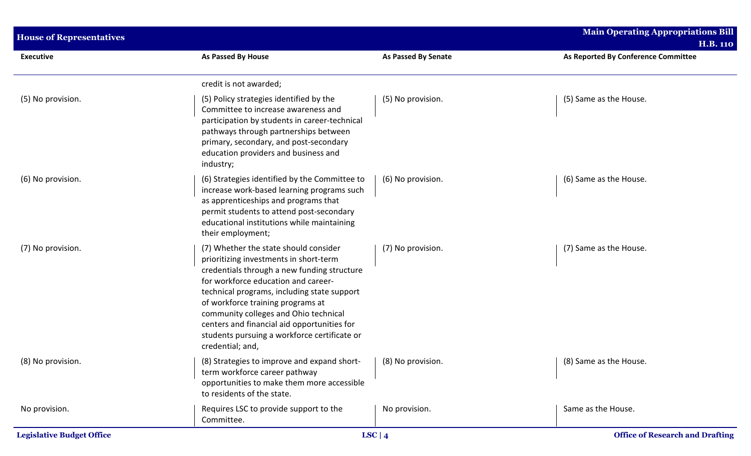| <b>House of Representatives</b>  |                                                                                                                                                                                                                                                                                                                                                                                                                       |                            | <b>Main Operating Appropriations Bill</b><br><b>H.B. 110</b> |
|----------------------------------|-----------------------------------------------------------------------------------------------------------------------------------------------------------------------------------------------------------------------------------------------------------------------------------------------------------------------------------------------------------------------------------------------------------------------|----------------------------|--------------------------------------------------------------|
| <b>Executive</b>                 | As Passed By House                                                                                                                                                                                                                                                                                                                                                                                                    | <b>As Passed By Senate</b> | As Reported By Conference Committee                          |
|                                  | credit is not awarded;                                                                                                                                                                                                                                                                                                                                                                                                |                            |                                                              |
| (5) No provision.                | (5) Policy strategies identified by the<br>Committee to increase awareness and<br>participation by students in career-technical<br>pathways through partnerships between<br>primary, secondary, and post-secondary<br>education providers and business and<br>industry;                                                                                                                                               | (5) No provision.          | (5) Same as the House.                                       |
| (6) No provision.                | (6) Strategies identified by the Committee to<br>increase work-based learning programs such<br>as apprenticeships and programs that<br>permit students to attend post-secondary<br>educational institutions while maintaining<br>their employment;                                                                                                                                                                    | (6) No provision.          | (6) Same as the House.                                       |
| (7) No provision.                | (7) Whether the state should consider<br>prioritizing investments in short-term<br>credentials through a new funding structure<br>for workforce education and career-<br>technical programs, including state support<br>of workforce training programs at<br>community colleges and Ohio technical<br>centers and financial aid opportunities for<br>students pursuing a workforce certificate or<br>credential; and, | (7) No provision.          | (7) Same as the House.                                       |
| (8) No provision.                | (8) Strategies to improve and expand short- $(8)$ No provision.<br>term workforce career pathway<br>opportunities to make them more accessible<br>to residents of the state.                                                                                                                                                                                                                                          |                            | (8) Same as the House.                                       |
| No provision.                    | Requires LSC to provide support to the<br>Committee.                                                                                                                                                                                                                                                                                                                                                                  | No provision.              | Same as the House.                                           |
| <b>Legislative Budget Office</b> |                                                                                                                                                                                                                                                                                                                                                                                                                       | LSC   $4$                  | <b>Office of Research and Drafting</b>                       |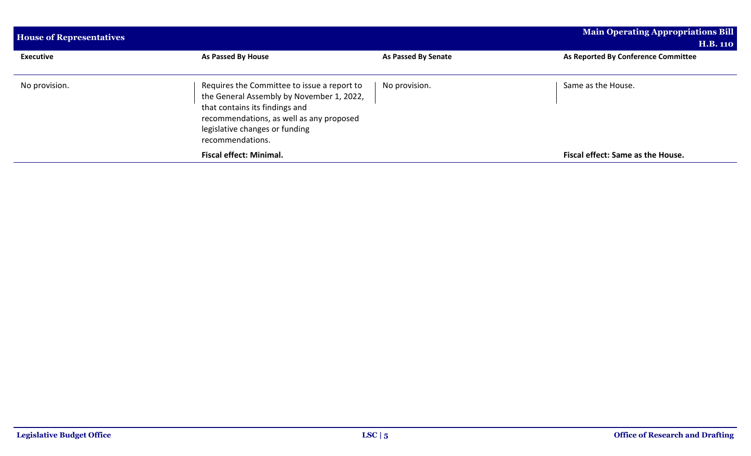| <b>House of Representatives</b> |                                                                                                                                                                                                                              | <b>Main Operating Appropriations Bill</b><br><b>H.B. 110</b> |                                     |  |
|---------------------------------|------------------------------------------------------------------------------------------------------------------------------------------------------------------------------------------------------------------------------|--------------------------------------------------------------|-------------------------------------|--|
| <b>Executive</b>                | As Passed By House                                                                                                                                                                                                           | As Passed By Senate                                          | As Reported By Conference Committee |  |
| No provision.                   | Requires the Committee to issue a report to<br>the General Assembly by November 1, 2022,<br>that contains its findings and<br>recommendations, as well as any proposed<br>legislative changes or funding<br>recommendations. | No provision.                                                | Same as the House.                  |  |
|                                 | <b>Fiscal effect: Minimal.</b>                                                                                                                                                                                               |                                                              | Fiscal effect: Same as the House.   |  |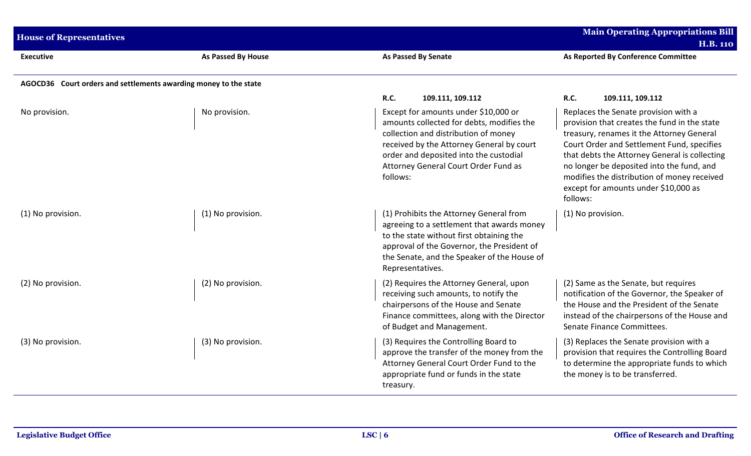| <b>House of Representatives</b> |                                                                  |                                                                                                                                                                                                                                                                      | <b>Main Operating Appropriations Bill</b><br><b>H.B. 110</b>                                                                                                                                                                                                                                                                                                                     |
|---------------------------------|------------------------------------------------------------------|----------------------------------------------------------------------------------------------------------------------------------------------------------------------------------------------------------------------------------------------------------------------|----------------------------------------------------------------------------------------------------------------------------------------------------------------------------------------------------------------------------------------------------------------------------------------------------------------------------------------------------------------------------------|
| <b>Executive</b>                | As Passed By House                                               | <b>As Passed By Senate</b>                                                                                                                                                                                                                                           | As Reported By Conference Committee                                                                                                                                                                                                                                                                                                                                              |
|                                 | AGOCD36 Court orders and settlements awarding money to the state |                                                                                                                                                                                                                                                                      |                                                                                                                                                                                                                                                                                                                                                                                  |
|                                 |                                                                  | <b>R.C.</b><br>109.111, 109.112                                                                                                                                                                                                                                      | R.C.<br>109.111, 109.112                                                                                                                                                                                                                                                                                                                                                         |
| No provision.                   | No provision.                                                    | Except for amounts under \$10,000 or<br>amounts collected for debts, modifies the<br>collection and distribution of money<br>received by the Attorney General by court<br>order and deposited into the custodial<br>Attorney General Court Order Fund as<br>follows: | Replaces the Senate provision with a<br>provision that creates the fund in the state<br>treasury, renames it the Attorney General<br>Court Order and Settlement Fund, specifies<br>that debts the Attorney General is collecting<br>no longer be deposited into the fund, and<br>modifies the distribution of money received<br>except for amounts under \$10,000 as<br>follows: |
| (1) No provision.               | (1) No provision.                                                | (1) Prohibits the Attorney General from<br>agreeing to a settlement that awards money<br>to the state without first obtaining the<br>approval of the Governor, the President of<br>the Senate, and the Speaker of the House of<br>Representatives.                   | (1) No provision.                                                                                                                                                                                                                                                                                                                                                                |
| (2) No provision.               | (2) No provision.                                                | (2) Requires the Attorney General, upon<br>receiving such amounts, to notify the<br>chairpersons of the House and Senate<br>Finance committees, along with the Director<br>of Budget and Management.                                                                 | (2) Same as the Senate, but requires<br>notification of the Governor, the Speaker of<br>the House and the President of the Senate<br>instead of the chairpersons of the House and<br>Senate Finance Committees.                                                                                                                                                                  |
| (3) No provision.               | (3) No provision.                                                | (3) Requires the Controlling Board to<br>approve the transfer of the money from the<br>Attorney General Court Order Fund to the<br>appropriate fund or funds in the state<br>treasury.                                                                               | (3) Replaces the Senate provision with a<br>provision that requires the Controlling Board<br>to determine the appropriate funds to which<br>the money is to be transferred.                                                                                                                                                                                                      |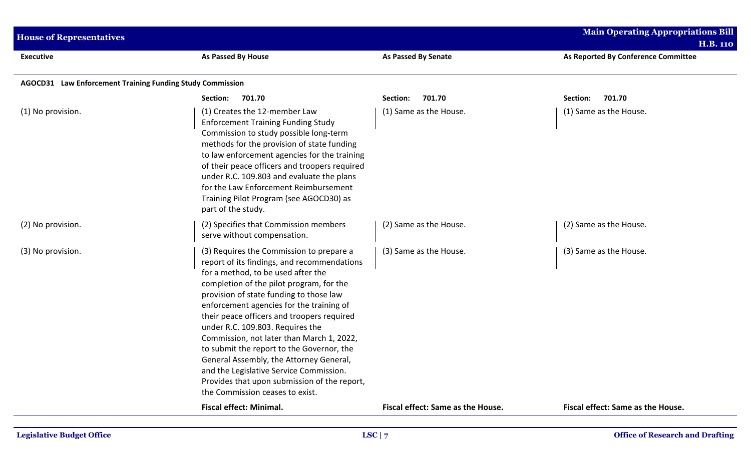| <b>Main Operating Appropriations Bill</b><br><b>House of Representatives</b><br><b>H.B. 110</b> |                                                                                                                                                                                                                                                                                                                                                                                                                                                                                                                                                                                                                       |                                   |                                     |
|-------------------------------------------------------------------------------------------------|-----------------------------------------------------------------------------------------------------------------------------------------------------------------------------------------------------------------------------------------------------------------------------------------------------------------------------------------------------------------------------------------------------------------------------------------------------------------------------------------------------------------------------------------------------------------------------------------------------------------------|-----------------------------------|-------------------------------------|
| <b>Executive</b>                                                                                | As Passed By House                                                                                                                                                                                                                                                                                                                                                                                                                                                                                                                                                                                                    | <b>As Passed By Senate</b>        | As Reported By Conference Committee |
| AGOCD31 Law Enforcement Training Funding Study Commission                                       |                                                                                                                                                                                                                                                                                                                                                                                                                                                                                                                                                                                                                       |                                   |                                     |
|                                                                                                 | 701.70<br>Section:                                                                                                                                                                                                                                                                                                                                                                                                                                                                                                                                                                                                    | 701.70<br>Section:                | 701.70<br>Section:                  |
| (1) No provision.                                                                               | (1) Creates the 12-member Law<br><b>Enforcement Training Funding Study</b><br>Commission to study possible long-term<br>methods for the provision of state funding<br>to law enforcement agencies for the training<br>of their peace officers and troopers required<br>under R.C. 109.803 and evaluate the plans<br>for the Law Enforcement Reimbursement<br>Training Pilot Program (see AGOCD30) as<br>part of the study.                                                                                                                                                                                            | (1) Same as the House.            | (1) Same as the House.              |
| (2) No provision.                                                                               | (2) Specifies that Commission members<br>serve without compensation.                                                                                                                                                                                                                                                                                                                                                                                                                                                                                                                                                  | (2) Same as the House.            | (2) Same as the House.              |
| (3) No provision.                                                                               | (3) Requires the Commission to prepare a<br>report of its findings, and recommendations<br>for a method, to be used after the<br>completion of the pilot program, for the<br>provision of state funding to those law<br>enforcement agencies for the training of<br>their peace officers and troopers required<br>under R.C. 109.803. Requires the<br>Commission, not later than March 1, 2022,<br>to submit the report to the Governor, the<br>General Assembly, the Attorney General,<br>and the Legislative Service Commission.<br>Provides that upon submission of the report,<br>the Commission ceases to exist. | (3) Same as the House.            | (3) Same as the House.              |
|                                                                                                 | <b>Fiscal effect: Minimal.</b>                                                                                                                                                                                                                                                                                                                                                                                                                                                                                                                                                                                        | Fiscal effect: Same as the House. | Fiscal effect: Same as the House.   |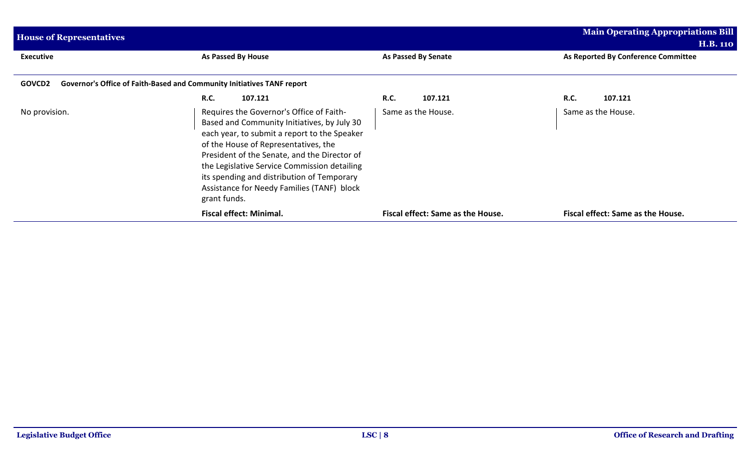| <b>House of Representatives</b>                                                         |                                                                                                                                                                                                                                                                                                                                                                                             |                                   | Main Operating Appropriations Bill<br><b>H.B. 110</b> |
|-----------------------------------------------------------------------------------------|---------------------------------------------------------------------------------------------------------------------------------------------------------------------------------------------------------------------------------------------------------------------------------------------------------------------------------------------------------------------------------------------|-----------------------------------|-------------------------------------------------------|
| <b>Executive</b>                                                                        | As Passed By House                                                                                                                                                                                                                                                                                                                                                                          | As Passed By Senate               | As Reported By Conference Committee                   |
| Governor's Office of Faith-Based and Community Initiatives TANF report<br><b>GOVCD2</b> |                                                                                                                                                                                                                                                                                                                                                                                             |                                   |                                                       |
|                                                                                         | <b>R.C.</b><br>107.121                                                                                                                                                                                                                                                                                                                                                                      | <b>R.C.</b><br>107.121            | <b>R.C.</b><br>107.121                                |
| No provision.                                                                           | Requires the Governor's Office of Faith-<br>Based and Community Initiatives, by July 30<br>each year, to submit a report to the Speaker<br>of the House of Representatives, the<br>President of the Senate, and the Director of<br>the Legislative Service Commission detailing<br>its spending and distribution of Temporary<br>Assistance for Needy Families (TANF) block<br>grant funds. | Same as the House.                | Same as the House.                                    |
|                                                                                         | <b>Fiscal effect: Minimal.</b>                                                                                                                                                                                                                                                                                                                                                              | Fiscal effect: Same as the House. | Fiscal effect: Same as the House.                     |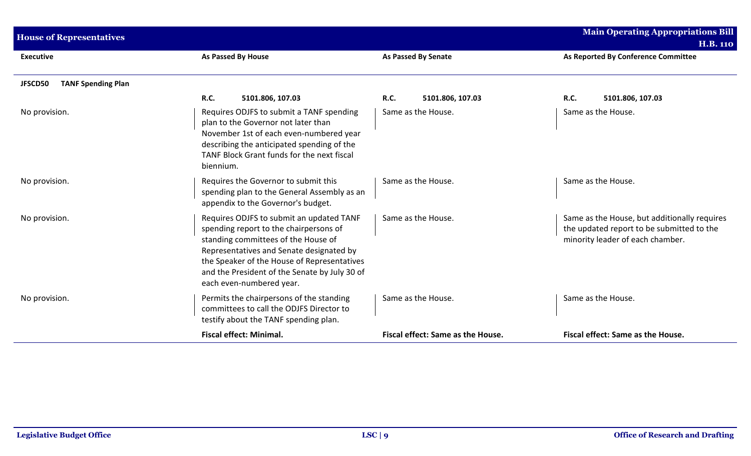| <b>House of Representatives</b>      |                                                                                                                                                                                                                                                                                                   |                                   | <b>Main Operating Appropriations Bill</b><br><b>H.B. 110</b>                                                                  |
|--------------------------------------|---------------------------------------------------------------------------------------------------------------------------------------------------------------------------------------------------------------------------------------------------------------------------------------------------|-----------------------------------|-------------------------------------------------------------------------------------------------------------------------------|
| <b>Executive</b>                     | <b>As Passed By House</b>                                                                                                                                                                                                                                                                         | <b>As Passed By Senate</b>        | As Reported By Conference Committee                                                                                           |
| <b>TANF Spending Plan</b><br>JFSCD50 |                                                                                                                                                                                                                                                                                                   |                                   |                                                                                                                               |
|                                      | <b>R.C.</b><br>5101.806, 107.03                                                                                                                                                                                                                                                                   | R.C.<br>5101.806, 107.03          | <b>R.C.</b><br>5101.806, 107.03                                                                                               |
| No provision.                        | Requires ODJFS to submit a TANF spending<br>plan to the Governor not later than<br>November 1st of each even-numbered year<br>describing the anticipated spending of the<br>TANF Block Grant funds for the next fiscal<br>biennium.                                                               | Same as the House.                | Same as the House.                                                                                                            |
| No provision.                        | Requires the Governor to submit this<br>spending plan to the General Assembly as an<br>appendix to the Governor's budget.                                                                                                                                                                         | Same as the House.                | Same as the House.                                                                                                            |
| No provision.                        | Requires ODJFS to submit an updated TANF<br>spending report to the chairpersons of<br>standing committees of the House of<br>Representatives and Senate designated by<br>the Speaker of the House of Representatives<br>and the President of the Senate by July 30 of<br>each even-numbered year. | Same as the House.                | Same as the House, but additionally requires<br>the updated report to be submitted to the<br>minority leader of each chamber. |
| No provision.                        | Permits the chairpersons of the standing<br>committees to call the ODJFS Director to<br>testify about the TANF spending plan.                                                                                                                                                                     | Same as the House.                | Same as the House.                                                                                                            |
|                                      | <b>Fiscal effect: Minimal.</b>                                                                                                                                                                                                                                                                    | Fiscal effect: Same as the House. | Fiscal effect: Same as the House.                                                                                             |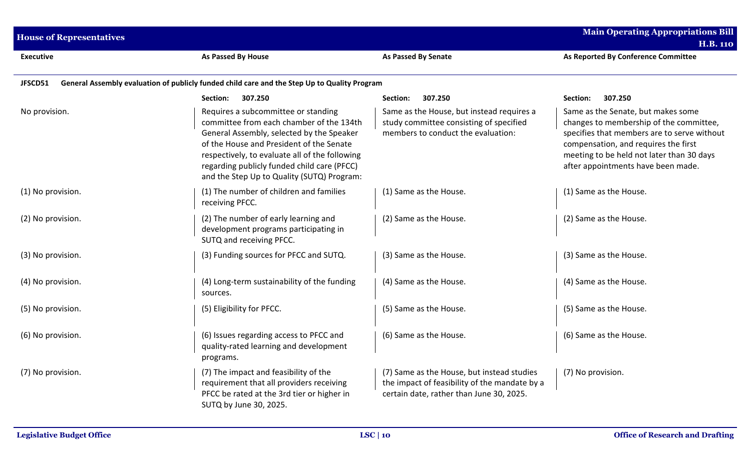| <b>House of Representatives</b> | <b>Main Operating Appropriations Bill</b><br><b>H.B. 110</b>                                                                                                                                                                                                                                                            |                                                                                                                                         |                                                                                                                                                                                                                                                         |
|---------------------------------|-------------------------------------------------------------------------------------------------------------------------------------------------------------------------------------------------------------------------------------------------------------------------------------------------------------------------|-----------------------------------------------------------------------------------------------------------------------------------------|---------------------------------------------------------------------------------------------------------------------------------------------------------------------------------------------------------------------------------------------------------|
| <b>Executive</b>                | As Passed By House                                                                                                                                                                                                                                                                                                      | <b>As Passed By Senate</b>                                                                                                              | As Reported By Conference Committee                                                                                                                                                                                                                     |
| JFSCD51                         | General Assembly evaluation of publicly funded child care and the Step Up to Quality Program                                                                                                                                                                                                                            |                                                                                                                                         |                                                                                                                                                                                                                                                         |
|                                 | 307.250<br>Section:                                                                                                                                                                                                                                                                                                     | Section:<br>307.250                                                                                                                     | 307.250<br>Section:                                                                                                                                                                                                                                     |
| No provision.                   | Requires a subcommittee or standing<br>committee from each chamber of the 134th<br>General Assembly, selected by the Speaker<br>of the House and President of the Senate<br>respectively, to evaluate all of the following<br>regarding publicly funded child care (PFCC)<br>and the Step Up to Quality (SUTQ) Program: | Same as the House, but instead requires a<br>study committee consisting of specified<br>members to conduct the evaluation:              | Same as the Senate, but makes some<br>changes to membership of the committee,<br>specifies that members are to serve without<br>compensation, and requires the first<br>meeting to be held not later than 30 days<br>after appointments have been made. |
| (1) No provision.               | (1) The number of children and families<br>receiving PFCC.                                                                                                                                                                                                                                                              | (1) Same as the House.                                                                                                                  | (1) Same as the House.                                                                                                                                                                                                                                  |
| (2) No provision.               | (2) The number of early learning and<br>development programs participating in<br>SUTQ and receiving PFCC.                                                                                                                                                                                                               | (2) Same as the House.                                                                                                                  | (2) Same as the House.                                                                                                                                                                                                                                  |
| (3) No provision.               | (3) Funding sources for PFCC and SUTQ.                                                                                                                                                                                                                                                                                  | (3) Same as the House.                                                                                                                  | (3) Same as the House.                                                                                                                                                                                                                                  |
| (4) No provision.               | (4) Long-term sustainability of the funding<br>sources.                                                                                                                                                                                                                                                                 | (4) Same as the House.                                                                                                                  | (4) Same as the House.                                                                                                                                                                                                                                  |
| (5) No provision.               | (5) Eligibility for PFCC.                                                                                                                                                                                                                                                                                               | (5) Same as the House.                                                                                                                  | (5) Same as the House.                                                                                                                                                                                                                                  |
| (6) No provision.               | (6) Issues regarding access to PFCC and<br>quality-rated learning and development<br>programs.                                                                                                                                                                                                                          | (6) Same as the House.                                                                                                                  | (6) Same as the House.                                                                                                                                                                                                                                  |
| (7) No provision.               | (7) The impact and feasibility of the<br>requirement that all providers receiving<br>PFCC be rated at the 3rd tier or higher in<br>SUTQ by June 30, 2025.                                                                                                                                                               | (7) Same as the House, but instead studies<br>the impact of feasibility of the mandate by a<br>certain date, rather than June 30, 2025. | (7) No provision.                                                                                                                                                                                                                                       |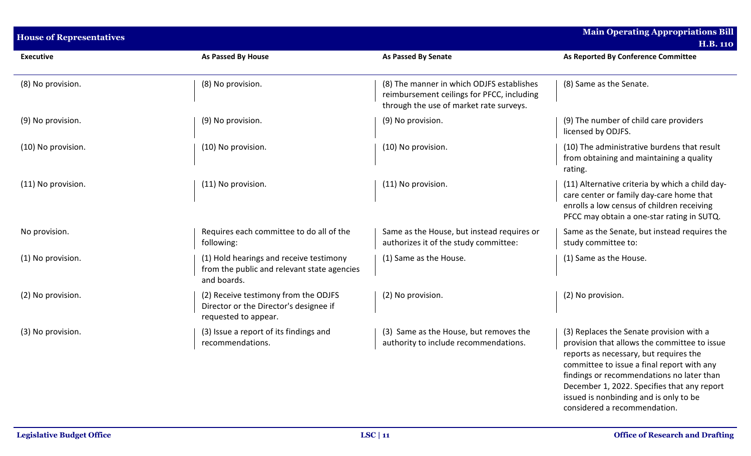| <b>House of Representatives</b> |                                                                                                        |                                                                                                                                    | <b>Main Operating Appropriations Bill</b>                                                                                                                                                                                                                                                                                                              |
|---------------------------------|--------------------------------------------------------------------------------------------------------|------------------------------------------------------------------------------------------------------------------------------------|--------------------------------------------------------------------------------------------------------------------------------------------------------------------------------------------------------------------------------------------------------------------------------------------------------------------------------------------------------|
|                                 |                                                                                                        |                                                                                                                                    | <b>H.B. 110</b>                                                                                                                                                                                                                                                                                                                                        |
| <b>Executive</b>                | As Passed By House                                                                                     | As Passed By Senate                                                                                                                | As Reported By Conference Committee                                                                                                                                                                                                                                                                                                                    |
| (8) No provision.               | (8) No provision.                                                                                      | (8) The manner in which ODJFS establishes<br>reimbursement ceilings for PFCC, including<br>through the use of market rate surveys. | (8) Same as the Senate.                                                                                                                                                                                                                                                                                                                                |
| (9) No provision.               | (9) No provision.                                                                                      | (9) No provision.                                                                                                                  | (9) The number of child care providers<br>licensed by ODJFS.                                                                                                                                                                                                                                                                                           |
| (10) No provision.              | (10) No provision.                                                                                     | (10) No provision.                                                                                                                 | (10) The administrative burdens that result<br>from obtaining and maintaining a quality<br>rating.                                                                                                                                                                                                                                                     |
| (11) No provision.              | (11) No provision.                                                                                     | (11) No provision.                                                                                                                 | (11) Alternative criteria by which a child day-<br>care center or family day-care home that<br>enrolls a low census of children receiving<br>PFCC may obtain a one-star rating in SUTQ.                                                                                                                                                                |
| No provision.                   | Requires each committee to do all of the<br>following:                                                 | Same as the House, but instead requires or<br>authorizes it of the study committee:                                                | Same as the Senate, but instead requires the<br>study committee to:                                                                                                                                                                                                                                                                                    |
| (1) No provision.               | (1) Hold hearings and receive testimony<br>from the public and relevant state agencies<br>and boards.  | (1) Same as the House.                                                                                                             | (1) Same as the House.                                                                                                                                                                                                                                                                                                                                 |
| (2) No provision.               | (2) Receive testimony from the ODJFS<br>Director or the Director's designee if<br>requested to appear. | (2) No provision.                                                                                                                  | (2) No provision.                                                                                                                                                                                                                                                                                                                                      |
| (3) No provision.               | (3) Issue a report of its findings and<br>recommendations.                                             | (3) Same as the House, but removes the<br>authority to include recommendations.                                                    | (3) Replaces the Senate provision with a<br>provision that allows the committee to issue<br>reports as necessary, but requires the<br>committee to issue a final report with any<br>findings or recommendations no later than<br>December 1, 2022. Specifies that any report<br>issued is nonbinding and is only to be<br>considered a recommendation. |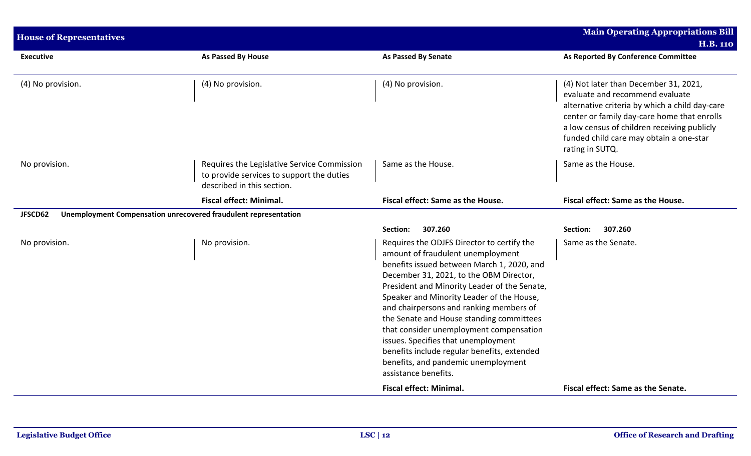| <b>House of Representatives</b>                                            |                                                                                                                        |                                                                                                                                                                                                                                                                                                                                                                                                                                                                                                                                                              | <b>Main Operating Appropriations Bill</b>                                                                                                                                                                                                                                              |
|----------------------------------------------------------------------------|------------------------------------------------------------------------------------------------------------------------|--------------------------------------------------------------------------------------------------------------------------------------------------------------------------------------------------------------------------------------------------------------------------------------------------------------------------------------------------------------------------------------------------------------------------------------------------------------------------------------------------------------------------------------------------------------|----------------------------------------------------------------------------------------------------------------------------------------------------------------------------------------------------------------------------------------------------------------------------------------|
|                                                                            |                                                                                                                        |                                                                                                                                                                                                                                                                                                                                                                                                                                                                                                                                                              | <b>H.B. 110</b>                                                                                                                                                                                                                                                                        |
| <b>Executive</b>                                                           | As Passed By House                                                                                                     | As Passed By Senate                                                                                                                                                                                                                                                                                                                                                                                                                                                                                                                                          | As Reported By Conference Committee                                                                                                                                                                                                                                                    |
| (4) No provision.                                                          | (4) No provision.                                                                                                      | (4) No provision.                                                                                                                                                                                                                                                                                                                                                                                                                                                                                                                                            | (4) Not later than December 31, 2021,<br>evaluate and recommend evaluate<br>alternative criteria by which a child day-care<br>center or family day-care home that enrolls<br>a low census of children receiving publicly<br>funded child care may obtain a one-star<br>rating in SUTQ. |
| No provision.                                                              | Requires the Legislative Service Commission<br>to provide services to support the duties<br>described in this section. | Same as the House.                                                                                                                                                                                                                                                                                                                                                                                                                                                                                                                                           | Same as the House.                                                                                                                                                                                                                                                                     |
|                                                                            | <b>Fiscal effect: Minimal.</b>                                                                                         | Fiscal effect: Same as the House.                                                                                                                                                                                                                                                                                                                                                                                                                                                                                                                            | Fiscal effect: Same as the House.                                                                                                                                                                                                                                                      |
| Unemployment Compensation unrecovered fraudulent representation<br>JFSCD62 |                                                                                                                        |                                                                                                                                                                                                                                                                                                                                                                                                                                                                                                                                                              |                                                                                                                                                                                                                                                                                        |
|                                                                            |                                                                                                                        | 307.260<br>Section:                                                                                                                                                                                                                                                                                                                                                                                                                                                                                                                                          | 307.260<br>Section:                                                                                                                                                                                                                                                                    |
| No provision.                                                              | No provision.                                                                                                          | Requires the ODJFS Director to certify the<br>amount of fraudulent unemployment<br>benefits issued between March 1, 2020, and<br>December 31, 2021, to the OBM Director,<br>President and Minority Leader of the Senate,<br>Speaker and Minority Leader of the House,<br>and chairpersons and ranking members of<br>the Senate and House standing committees<br>that consider unemployment compensation<br>issues. Specifies that unemployment<br>benefits include regular benefits, extended<br>benefits, and pandemic unemployment<br>assistance benefits. | Same as the Senate.                                                                                                                                                                                                                                                                    |
|                                                                            |                                                                                                                        | <b>Fiscal effect: Minimal.</b>                                                                                                                                                                                                                                                                                                                                                                                                                                                                                                                               | Fiscal effect: Same as the Senate.                                                                                                                                                                                                                                                     |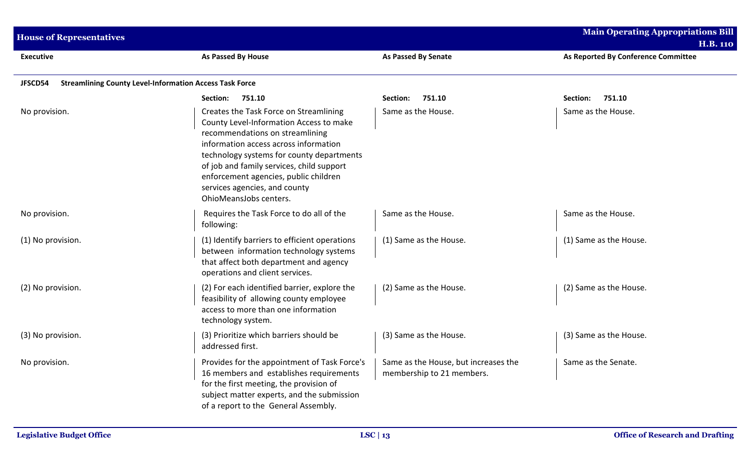| <b>House of Representatives</b>                                           |                                                                                                                                                                                                                                                                                                                                                             |                                                                   | <b>Main Operating Appropriations Bill</b><br><b>H.B. 110</b> |  |  |
|---------------------------------------------------------------------------|-------------------------------------------------------------------------------------------------------------------------------------------------------------------------------------------------------------------------------------------------------------------------------------------------------------------------------------------------------------|-------------------------------------------------------------------|--------------------------------------------------------------|--|--|
| <b>Executive</b>                                                          | As Passed By House                                                                                                                                                                                                                                                                                                                                          | <b>As Passed By Senate</b>                                        | As Reported By Conference Committee                          |  |  |
| <b>Streamlining County Level-Information Access Task Force</b><br>JFSCD54 |                                                                                                                                                                                                                                                                                                                                                             |                                                                   |                                                              |  |  |
|                                                                           | Section:<br>751.10                                                                                                                                                                                                                                                                                                                                          | 751.10<br>Section:                                                | 751.10<br>Section:                                           |  |  |
| No provision.                                                             | Creates the Task Force on Streamlining<br>County Level-Information Access to make<br>recommendations on streamlining<br>information access across information<br>technology systems for county departments<br>of job and family services, child support<br>enforcement agencies, public children<br>services agencies, and county<br>OhioMeansJobs centers. | Same as the House.                                                | Same as the House.                                           |  |  |
| No provision.                                                             | Requires the Task Force to do all of the<br>following:                                                                                                                                                                                                                                                                                                      | Same as the House.                                                | Same as the House.                                           |  |  |
| (1) No provision.                                                         | (1) Identify barriers to efficient operations<br>between information technology systems<br>that affect both department and agency<br>operations and client services.                                                                                                                                                                                        | (1) Same as the House.                                            | (1) Same as the House.                                       |  |  |
| (2) No provision.                                                         | (2) For each identified barrier, explore the<br>feasibility of allowing county employee<br>access to more than one information<br>technology system.                                                                                                                                                                                                        | (2) Same as the House.                                            | (2) Same as the House.                                       |  |  |
| (3) No provision.                                                         | (3) Prioritize which barriers should be<br>addressed first.                                                                                                                                                                                                                                                                                                 | (3) Same as the House.                                            | (3) Same as the House.                                       |  |  |
| No provision.                                                             | Provides for the appointment of Task Force's<br>16 members and establishes requirements<br>for the first meeting, the provision of<br>subject matter experts, and the submission<br>of a report to the General Assembly.                                                                                                                                    | Same as the House, but increases the<br>membership to 21 members. | Same as the Senate.                                          |  |  |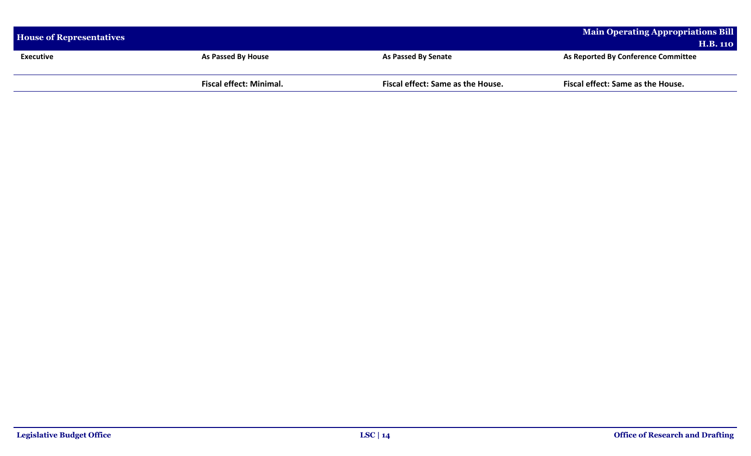| <b>House of Representatives</b> |                                |                                   | Main Operating Appropriations Bill  |
|---------------------------------|--------------------------------|-----------------------------------|-------------------------------------|
|                                 |                                |                                   | <b>H.B. 110</b>                     |
| <b>Executive</b>                | <b>As Passed By House</b>      | As Passed By Senate               | As Reported By Conference Committee |
|                                 |                                |                                   |                                     |
|                                 | <b>Fiscal effect: Minimal.</b> | Fiscal effect: Same as the House. | Fiscal effect: Same as the House.   |